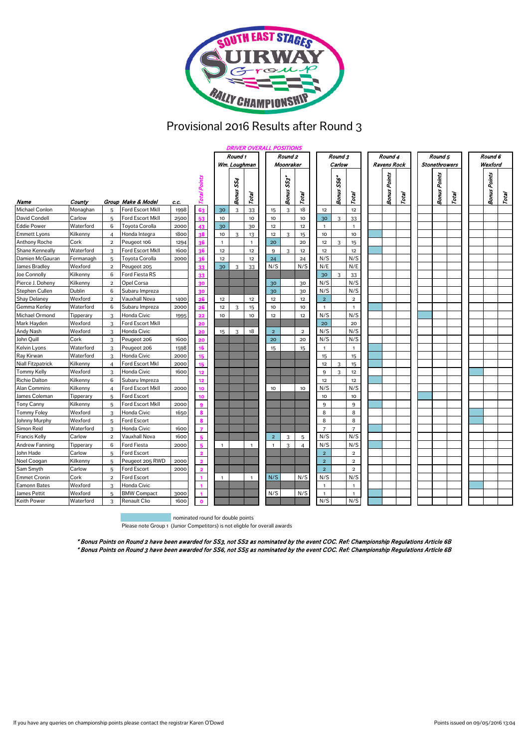

## Provisional 2016 Results after Round 3

|                          |           |                | <b>DRIVER OVERALL POSITIONS</b> |      |                         |              |                     |                |                |                             |                |                |            |                |  |                     |       |  |                      |       |  |                     |       |  |
|--------------------------|-----------|----------------|---------------------------------|------|-------------------------|--------------|---------------------|----------------|----------------|-----------------------------|----------------|----------------|------------|----------------|--|---------------------|-------|--|----------------------|-------|--|---------------------|-------|--|
|                          |           |                |                                 |      |                         | Round 1      |                     |                |                | Round 2                     |                |                | Round 3    |                |  | Round 4             |       |  | Round 5              |       |  | Round 6             |       |  |
|                          |           |                |                                 |      |                         | Wm. Loughman |                     |                |                | Moonraker                   |                |                | Carlow     |                |  | Ravens Rock         |       |  | <b>Stonethrowers</b> |       |  | Wexford             |       |  |
| Name                     | County    |                | Group Make & Model              | c.c. | Total Points            |              | SS4<br><b>Bonus</b> | Total          |                | $\tilde{s}$<br><b>Bonus</b> | Total          |                | Bonus SS6* | Total          |  | <b>Bonus Points</b> | Total |  | <b>Bonus Points</b>  | Total |  | <b>Bonus Points</b> | Total |  |
| <b>Michael Conlon</b>    | Monaghan  | $\overline{5}$ | <b>Ford Escort MkII</b>         | 1998 | 63                      | 30           | 3                   | 33             | 15             | 3                           | 18             | 12             |            | 12             |  |                     |       |  |                      |       |  |                     |       |  |
| David Condell            | Carlow    | 5              | Ford Escort MkII                | 2500 |                         | 10           |                     | 10             | 10             |                             | 10             | 30             | 3          | 33             |  |                     |       |  |                      |       |  |                     |       |  |
| <b>Eddie Power</b>       | Waterford | 6              | Toyota Corolla                  | 2000 |                         | 30           |                     | 30             | 12             |                             | 12             | $\mathbf{1}$   |            | $\mathbf{1}$   |  |                     |       |  |                      |       |  |                     |       |  |
| <b>Emmett Lyons</b>      | Kilkenny  | $\overline{4}$ | Honda Integra                   | 1800 | ٩8                      | 10           | 3                   | 13             | 12             | 3                           | 15             | 10             |            | 10             |  |                     |       |  |                      |       |  |                     |       |  |
| <b>Anthony Roche</b>     | Cork      | $\overline{a}$ | Peugeot 106                     | 1294 |                         | $\mathbf{1}$ |                     | $\mathbf{1}$   | 20             |                             | 20             | 12             | 3          | 15             |  |                     |       |  |                      |       |  |                     |       |  |
| Shane Kenneally          | Waterford | 3              | Ford Escort MkII                | 1600 | 36                      | 12           |                     | 12             | 9              | 3                           | 12             | 12             |            | 12             |  |                     |       |  |                      |       |  |                     |       |  |
| Damien McGauran          | Fermanagh | 5              | <b>Toyota Corolla</b>           | 2000 | 36                      | 12           |                     | 12             | 24             |                             | 24             | N/S            |            | N/S            |  |                     |       |  |                      |       |  |                     |       |  |
| James Bradley            | Wexford   | $\mathbf 2$    | Peugeot 205                     |      |                         | 30           | 3                   | 33             | N/S            |                             | N/S            | N/E            |            | N/E            |  |                     |       |  |                      |       |  |                     |       |  |
| Joe Connolly             | Kilkenny  | 6              | Ford Fiesta RS                  |      |                         |              |                     |                |                |                             |                | 30             | 3          | 33             |  |                     |       |  |                      |       |  |                     |       |  |
| Pierce J. Doheny         | Kilkenny  | $\overline{2}$ | Opel Corsa                      |      | 20                      |              |                     |                | 30             |                             | 30             | N/S            |            | N/S            |  |                     |       |  |                      |       |  |                     |       |  |
| Stephen Cullen           | Dublin    | 6              | Subaru Impreza                  |      |                         |              |                     |                | 30             |                             | 30             | N/S            |            | N/S            |  |                     |       |  |                      |       |  |                     |       |  |
| <b>Shay Delaney</b>      | Wexford   | $\overline{2}$ | Vauxhall Nova                   | 1400 | 26                      | 12           |                     | 12             | 12             |                             | 12             | $\overline{2}$ |            | $\overline{2}$ |  |                     |       |  |                      |       |  |                     |       |  |
| Gemma Kerley             | Waterford | 6              | Subaru Impreza                  | 2000 | 26                      | 12           | 3                   | 15             | 10             |                             | 10             | $\mathbf{1}$   |            | $\mathbf{1}$   |  |                     |       |  |                      |       |  |                     |       |  |
| Michael Ormond           | Tipperary | 3              | <b>Honda Civic</b>              | 1995 |                         | 10           |                     | 10             | 12             |                             | 12             | N/S            |            | N/S            |  |                     |       |  |                      |       |  |                     |       |  |
| Mark Hayden              | Wexford   | 3              | Ford Escort MkII                |      |                         |              |                     |                |                |                             |                | 20             |            | 20             |  |                     |       |  |                      |       |  |                     |       |  |
| <b>Andy Nash</b>         | Wexford   | 3              | <b>Honda Civic</b>              |      | 20                      | 15           | 3                   | 18             | $\overline{2}$ |                             | $\overline{a}$ | N/S            |            | N/S            |  |                     |       |  |                      |       |  |                     |       |  |
| John Quill               | Cork      | 3              | Peugeot 206                     | 1600 |                         |              |                     |                | 20             |                             | 20             | N/S            |            | N/S            |  |                     |       |  |                      |       |  |                     |       |  |
| Kelvin Lyons             | Waterford | 3              | Peugeot 206                     | 1598 | 16                      |              |                     |                | 15             |                             | 15             | $\mathbf{1}$   |            | $\mathbf{1}$   |  |                     |       |  |                      |       |  |                     |       |  |
| Ray Kirwan               | Waterford | 3              | <b>Honda Civic</b>              | 2000 | 15                      |              |                     |                |                |                             |                | 15             |            | 15             |  |                     |       |  |                      |       |  |                     |       |  |
| <b>Niall Fitzpatrick</b> | Kilkenny  | $\overline{4}$ | Ford Escort MkI                 | 2000 | 15                      |              |                     |                |                |                             |                | 12             | 3          | 15             |  |                     |       |  |                      |       |  |                     |       |  |
| <b>Tommy Kelly</b>       | Wexford   | 3              | Honda Civic                     | 1600 | 12                      |              |                     |                |                |                             |                | 9              | 3          | 12             |  |                     |       |  |                      |       |  |                     |       |  |
| <b>Richie Dalton</b>     | Kilkenny  | 6              | Subaru Impreza                  |      | 12                      |              |                     |                |                |                             |                | 12             |            | 12             |  |                     |       |  |                      |       |  |                     |       |  |
| <b>Alan Commins</b>      | Kilkenny  | $\overline{4}$ | Ford Escort MkII                | 2000 | 10                      |              |                     |                | 10             |                             | 10             | N/S            |            | N/S            |  |                     |       |  |                      |       |  |                     |       |  |
| James Coleman            | Tipperary | 5              | <b>Ford Escort</b>              |      | 10                      |              |                     |                |                |                             |                | 10             |            | 10             |  |                     |       |  |                      |       |  |                     |       |  |
| <b>Tony Canny</b>        | Kilkenny  | 5              | Ford Escort MkII                | 2000 | $\bullet$               |              |                     |                |                |                             |                | 9              |            | 9              |  |                     |       |  |                      |       |  |                     |       |  |
| <b>Tommy Foley</b>       | Wexford   | 3              | Honda Civic                     | 1650 | 8                       |              |                     |                |                |                             |                | 8              |            | 8              |  |                     |       |  |                      |       |  |                     |       |  |
| Johnny Murphy            | Wexford   | 5              | <b>Ford Escort</b>              |      | 8                       |              |                     |                |                |                             |                | 8              |            | 8              |  |                     |       |  |                      |       |  |                     |       |  |
| Simon Reid               | Waterford | 3              | Honda Civic                     | 1600 | $\overline{7}$          |              |                     |                |                |                             |                | $\overline{7}$ |            | $\overline{7}$ |  |                     |       |  |                      |       |  |                     |       |  |
| <b>Francis Kelly</b>     | Carlow    | $\overline{a}$ | Vauxhall Nova                   | 1600 | 5                       |              |                     |                | $\overline{2}$ | 3                           | 5              | N/S            |            | N/S            |  |                     |       |  |                      |       |  |                     |       |  |
| <b>Andrew Fanning</b>    | Tipperary | 6              | <b>Ford Fiesta</b>              | 2000 | к                       | $\mathbf{1}$ |                     | $\mathbf{1}$   | $\overline{1}$ | 3                           | $\overline{4}$ | N/S            |            | N/S            |  |                     |       |  |                      |       |  |                     |       |  |
| John Hade                | Carlow    | $\overline{5}$ | <b>Ford Escort</b>              |      | $\overline{\mathbf{2}}$ |              |                     |                |                |                             |                | $\overline{2}$ |            | $\overline{2}$ |  |                     |       |  |                      |       |  |                     |       |  |
| Noel Coogan              | Kilkenny  | 5              | Peugeot 205 RWD                 | 2000 | ò                       |              |                     |                |                |                             |                | $\overline{2}$ |            | $\overline{a}$ |  |                     |       |  |                      |       |  |                     |       |  |
| Sam Smyth                | Carlow    | 5              | <b>Ford Escort</b>              | 2000 | 2                       |              |                     |                |                |                             |                | $\overline{2}$ |            | $\overline{2}$ |  |                     |       |  |                      |       |  |                     |       |  |
| <b>Emmet Cronin</b>      | Cork      | $\overline{2}$ | <b>Ford Escort</b>              |      |                         | $\mathbf{1}$ |                     | $\overline{1}$ | N/S            |                             | N/S            | N/S            |            | N/S            |  |                     |       |  |                      |       |  |                     |       |  |
| Eamonn Bates             | Wexford   | 3              | Honda Civic                     |      |                         |              |                     |                |                |                             |                | $\mathbf{1}$   |            | $\mathbf{1}$   |  |                     |       |  |                      |       |  |                     |       |  |
| James Pettit             | Wexford   | 5              | <b>BMW Compact</b>              | 3000 |                         |              |                     |                | N/S            |                             | N/S            | $\mathbf{1}$   |            | $\mathbf{1}$   |  |                     |       |  |                      |       |  |                     |       |  |
| <b>Keith Power</b>       | Waterford | 3              | <b>Renault Clio</b>             | 1600 | $\bullet$               |              |                     |                |                |                             |                | N/S            |            | N/S            |  |                     |       |  |                      |       |  |                     |       |  |

nominated round for double points

Please note Group 1 (Junior Competitors) is not eligble for overall awards

\* Bonus Points on Round 3 have been awarded for SS6, not SS5 as nominated by the event COC. Ref: Championship Regulations Article 6B \* Bonus Points on Round 2 have been awarded for SS3, not SS2 as nominated by the event COC. Ref: Championship Regulations Article 6B